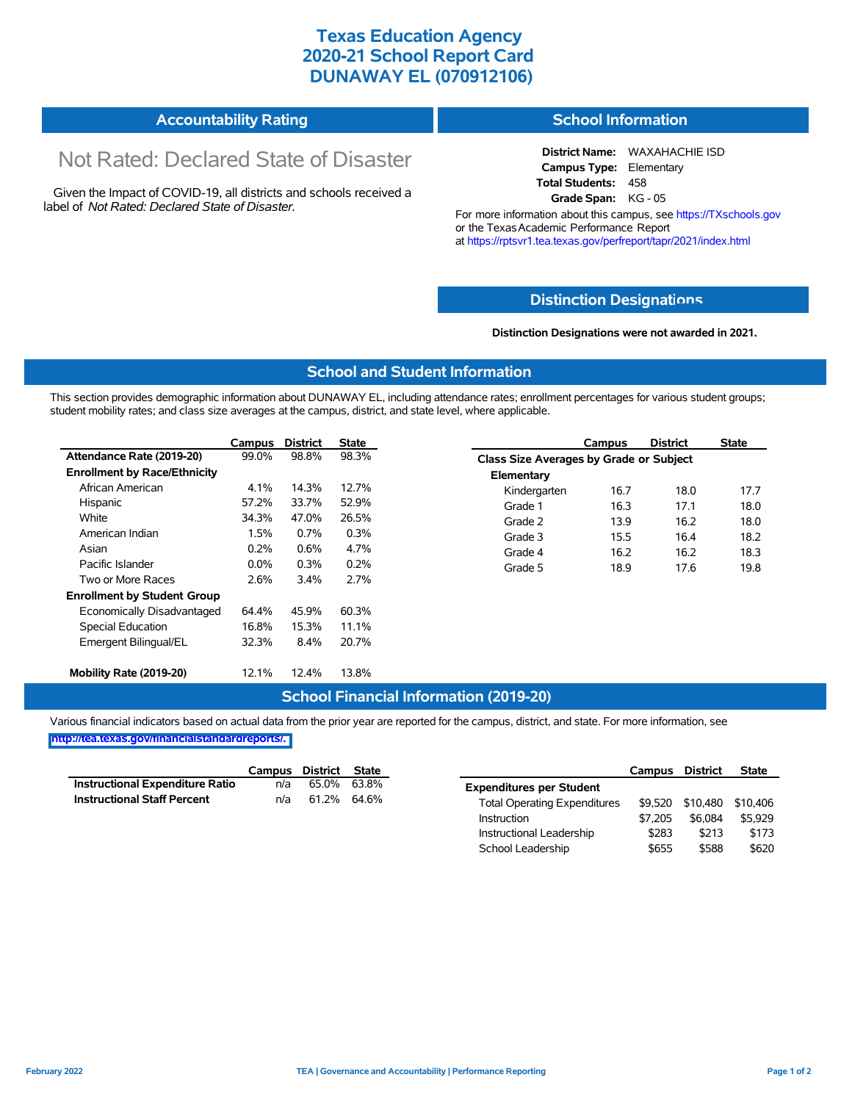## **Texas Education Agency 2020-21 School Report Card DUNAWAY EL (070912106)**

#### **Accountability Rating School Information**

# Not Rated: Declared State of Disaster

Given the Impact of COVID-19, all districts and schools received a label of *Not Rated: Declared State of Disaster.*

**District Name:** WAXAHACHIE ISD **Campus Type:** Elementary **Total Students:** 458 **Grade Span:** KG - 05

For more information about this campus, see https://TXschools.gov or the Texas Academic Performance Report at https://rptsvr1.tea.texas.gov/perfreport/tapr/2021/index.html

#### **Distinction Designat[ions](https://TXschools.gov)**

**Distinction Designations were not awarded in 2021.**

School Leadership  $$655$  \$588 \$620

#### **School and Student Information**

This section provides demographic information about DUNAWAY EL, including attendance rates; enrollment percentages for various student groups; student mobility rates; and class size averages at the campus, district, and state level, where applicable.

|                                     | Campus  | <b>District</b> | State |              | Campus                                  | <b>District</b> | <b>State</b> |  |  |  |
|-------------------------------------|---------|-----------------|-------|--------------|-----------------------------------------|-----------------|--------------|--|--|--|
| Attendance Rate (2019-20)           | 99.0%   | 98.8%           | 98.3% |              | Class Size Averages by Grade or Subject |                 |              |  |  |  |
| <b>Enrollment by Race/Ethnicity</b> |         |                 |       | Elementary   |                                         |                 |              |  |  |  |
| African American                    | 4.1%    | 14.3%           | 12.7% | Kindergarten | 16.7                                    | 18.0            | 17.7         |  |  |  |
| Hispanic                            | 57.2%   | 33.7%           | 52.9% | Grade 1      | 16.3                                    | 17.1            | 18.0         |  |  |  |
| White                               | 34.3%   | 47.0%           | 26.5% | Grade 2      | 13.9                                    | 16.2            | 18.0         |  |  |  |
| American Indian                     | 1.5%    | $0.7\%$         | 0.3%  | Grade 3      | 15.5                                    | 16.4            | 18.2         |  |  |  |
| Asian                               | 0.2%    | 0.6%            | 4.7%  | Grade 4      | 16.2                                    | 16.2            | 18.3         |  |  |  |
| Pacific Islander                    | $0.0\%$ | 0.3%            | 0.2%  | Grade 5      | 18.9                                    | 17.6            | 19.8         |  |  |  |
| Two or More Races                   | 2.6%    | 3.4%            | 2.7%  |              |                                         |                 |              |  |  |  |
| <b>Enrollment by Student Group</b>  |         |                 |       |              |                                         |                 |              |  |  |  |
| Economically Disadvantaged          | 64.4%   | 45.9%           | 60.3% |              |                                         |                 |              |  |  |  |
| Special Education                   | 16.8%   | 15.3%           | 11.1% |              |                                         |                 |              |  |  |  |
| Emergent Bilingual/EL               | 32.3%   | 8.4%            | 20.7% |              |                                         |                 |              |  |  |  |
|                                     |         |                 |       |              |                                         |                 |              |  |  |  |
| Mobility Rate (2019-20)             | 12.1%   | 12.4%           | 13.8% |              |                                         |                 |              |  |  |  |

#### **School Financial Information (2019-20)**

Various financial indicators based on actual data from the prior year are reported for the campus, district, and state. For more information, see

**[http://tea.texas.gov/financialstandardreports/.](http://tea.texas.gov/financialstandardreports/)**

|                                        | Campus | District | <b>State</b> |                                     | Campus  | <b>District</b>  | <b>State</b> |
|----------------------------------------|--------|----------|--------------|-------------------------------------|---------|------------------|--------------|
| <b>Instructional Expenditure Ratio</b> | n/a    | 65.0%    | 63.8%        | <b>Expenditures per Student</b>     |         |                  |              |
| <b>Instructional Staff Percent</b>     | n/a    | 61.2%    | 64.6%        | <b>Total Operating Expenditures</b> |         | \$9.520 \$10.480 | \$10,406     |
|                                        |        |          |              | Instruction                         | \$7.205 | \$6.084          | \$5,929      |
|                                        |        |          |              | Instructional Leadership            | \$283   | \$213            | \$173        |